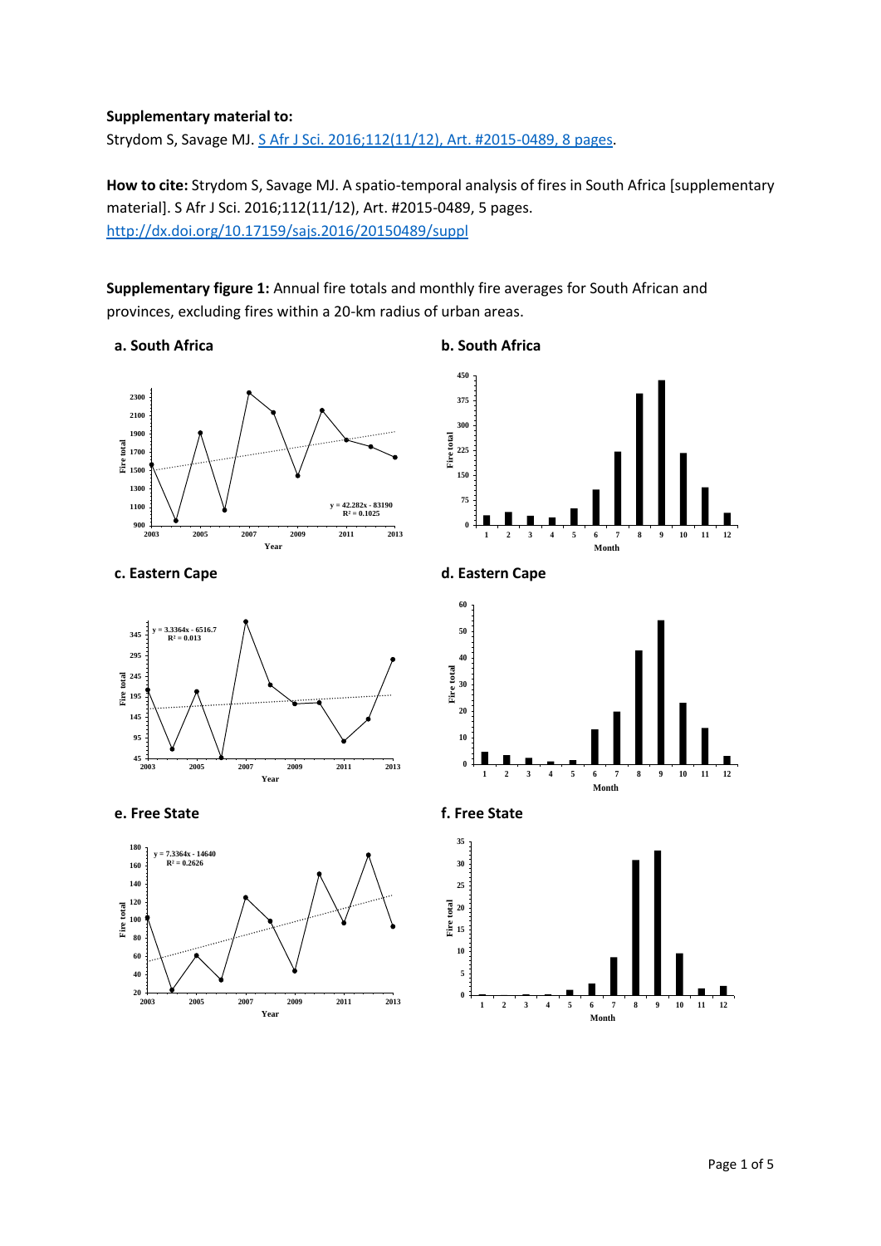## **Supplementary material to:**

Strydom S, Savage MJ[. S Afr J Sci. 2016;112\(11/12\), Art. #2015-0489, 8](http://dx.doi.org/10.17159/sajs.2016/20150489) pages.

**How to cite:** Strydom S, Savage MJ. A spatio-temporal analysis of fires in South Africa [supplementary material]. S Afr J Sci. 2016;112(11/12), Art. #2015-0489, 5 pages. <http://dx.doi.org/10.17159/sajs.2016/20150489/suppl>

**Supplementary figure 1:** Annual fire totals and monthly fire averages for South African and provinces, excluding fires within a 20-km radius of urban areas.

**a. South Africa b. South Africa**









 









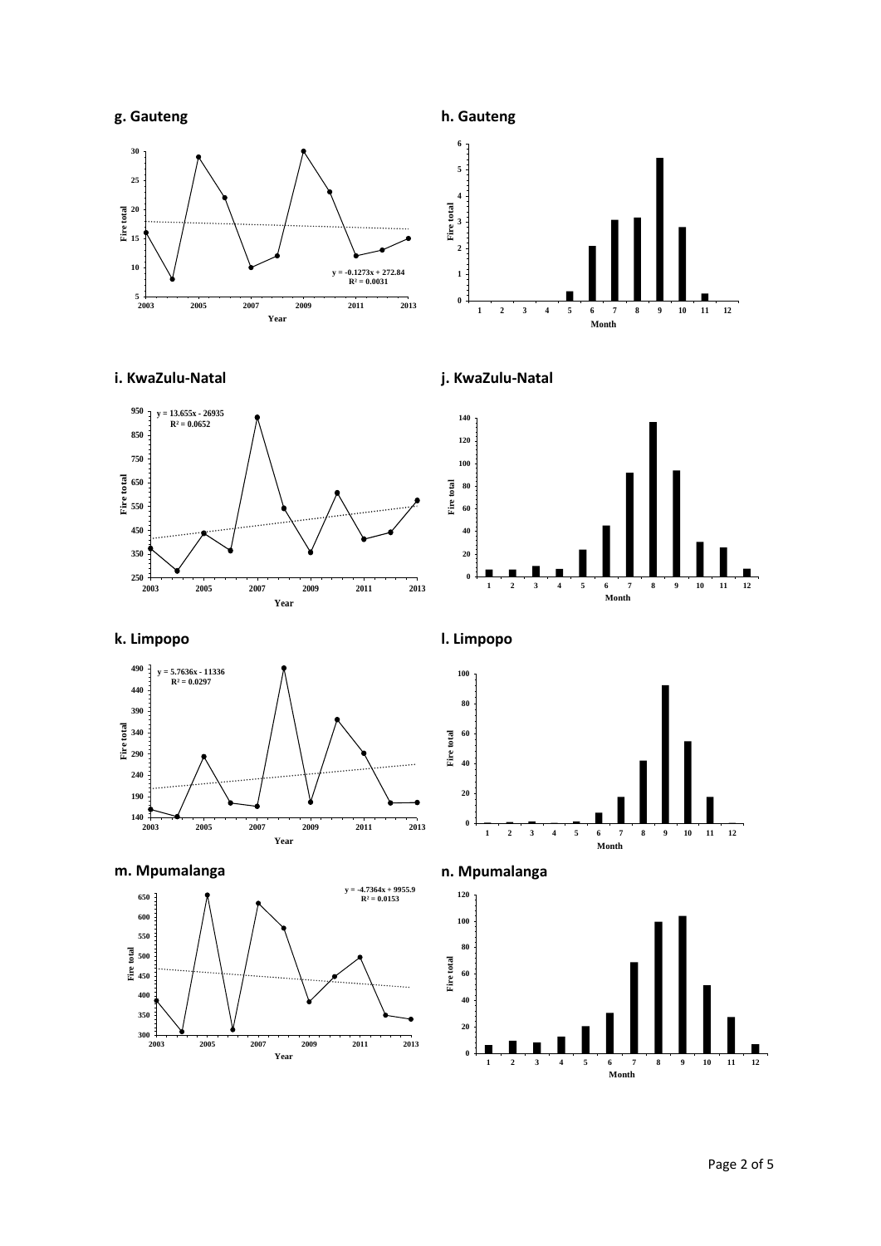





**i. KwaZulu-Natal j. KwaZulu-Natal**



 **60 Fire total 2 3 4 5 6 7 8 9 10 11 12 Month**

**k. Limpopo l. Limpopo**











Page 2 of 5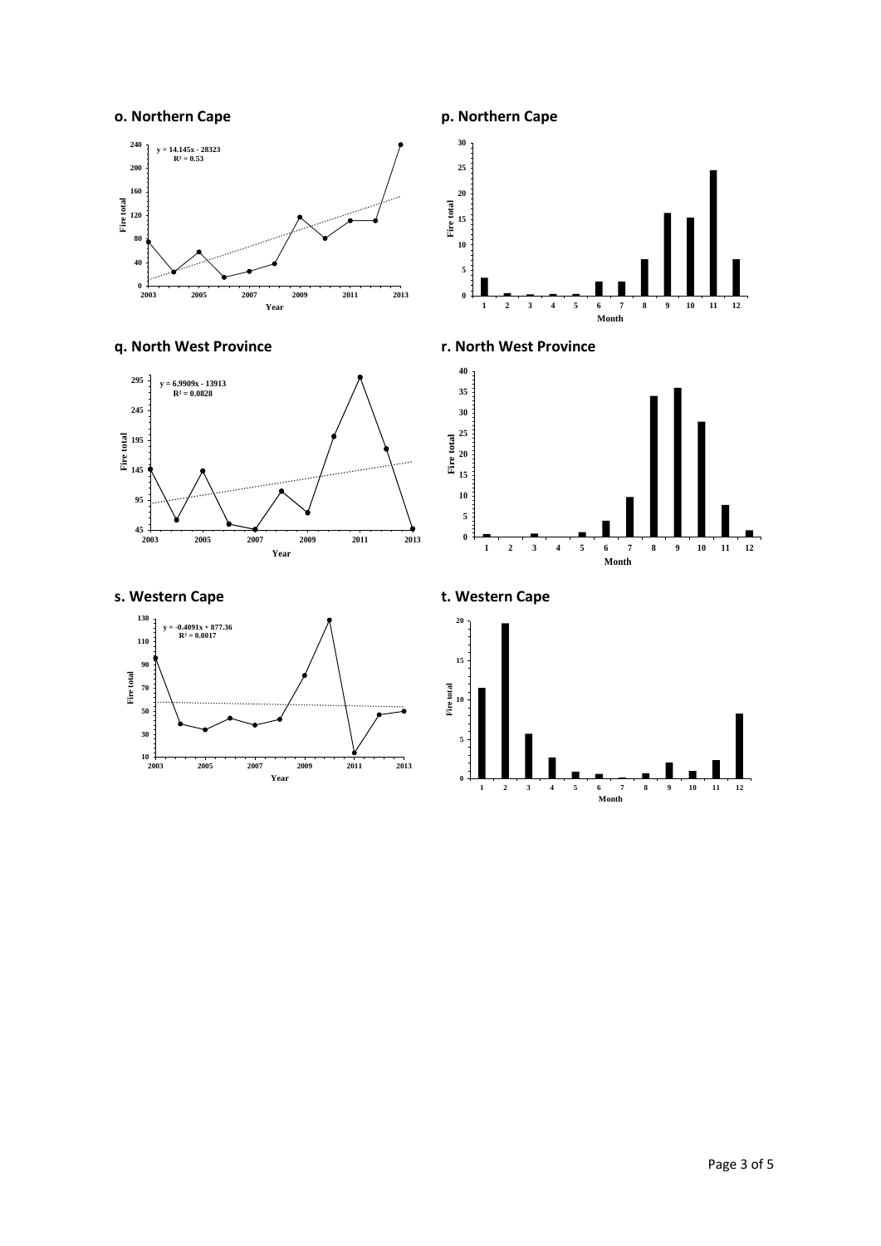## **o. Northern Cape p. Northern Cape**















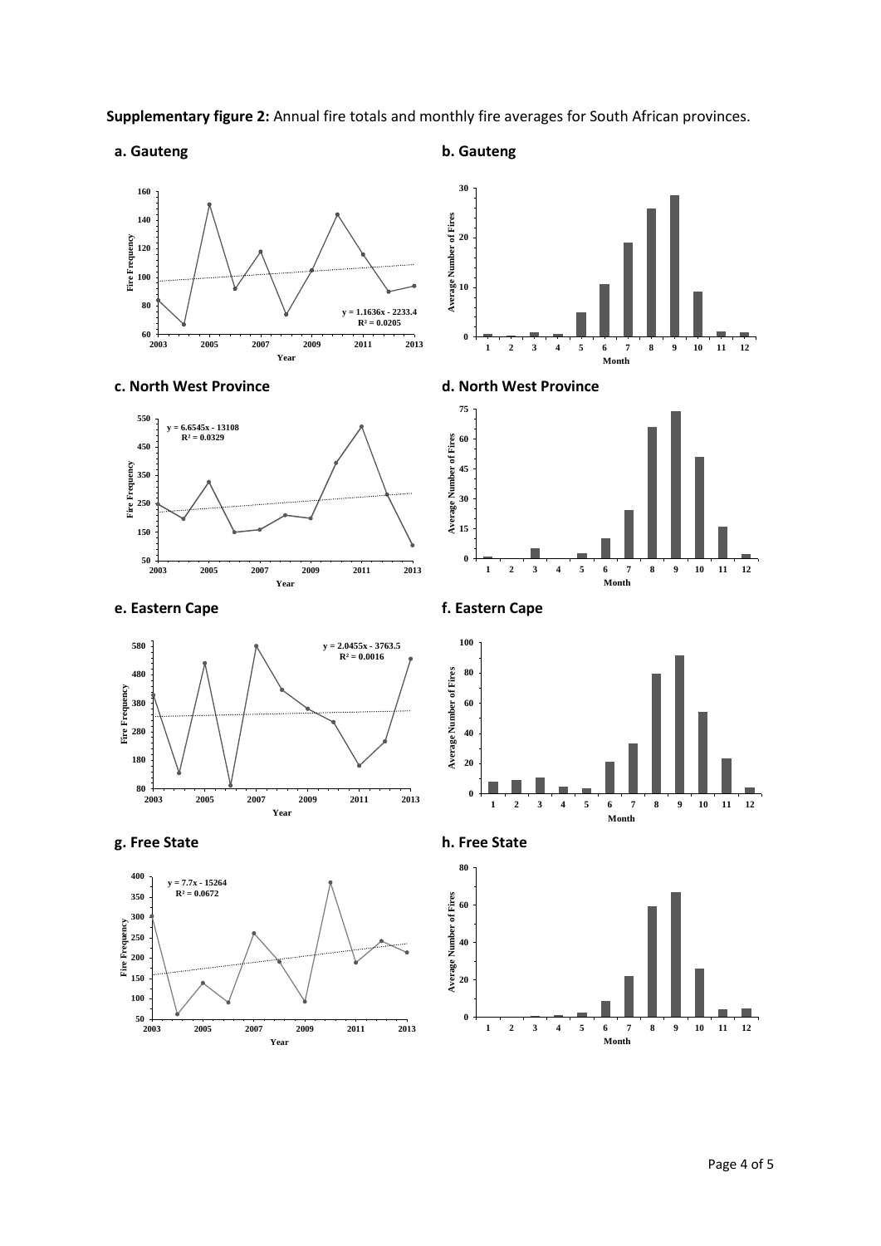

## **a. Gauteng b. Gauteng**